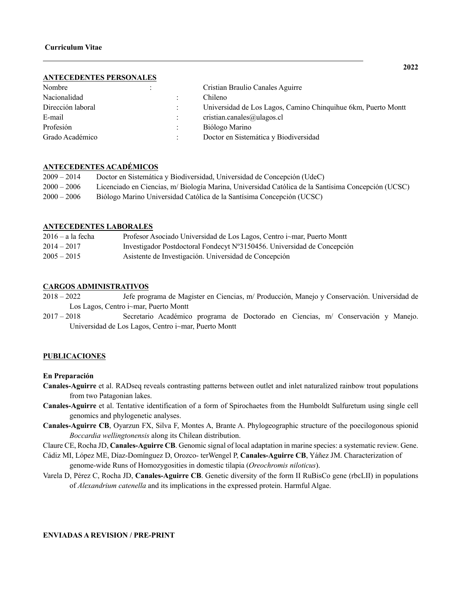### **ANTECEDENTES PERSONALES**

| Nombre            |  | Cristian Braulio Canales Aguirre                              |
|-------------------|--|---------------------------------------------------------------|
| Nacionalidad      |  | Chileno                                                       |
| Dirección laboral |  | Universidad de Los Lagos, Camino Chinquihue 6km, Puerto Montt |
| E-mail            |  | cristian.canales@ulagos.cl                                    |
| Profesión         |  | Biólogo Marino                                                |
| Grado Académico   |  | Doctor en Sistemática y Biodiversidad                         |

# **ANTECEDENTES ACADÉMICOS**

| $2009 - 2014$ | Doctor en Sistemática y Biodiversidad, Universidad de Concepción (UdeC)                            |
|---------------|----------------------------------------------------------------------------------------------------|
| $2000 - 2006$ | Licenciado en Ciencias, m/ Biología Marina, Universidad Católica de la Santísima Concepción (UCSC) |
| $2000 - 2006$ | Biólogo Marino Universidad Católica de la Santísima Concepción (UCSC)                              |

## **ANTECEDENTES LABORALES**

| $2016 - a$ la fecha | Profesor Asociado Universidad de Los Lagos, Centro i~mar, Puerto Montt  |
|---------------------|-------------------------------------------------------------------------|
| $2014 - 2017$       | Investigador Postdoctoral Fondecyt Nº3150456. Universidad de Concepción |
| $2005 - 2015$       | Asistente de Investigación. Universidad de Concepción                   |

# **CARGOS ADMINISTRATIVOS**

- 2018 2022 Jefe programa de Magister en Ciencias, m/ Producción, Manejo y Conservación. Universidad de Los Lagos, Centro i~mar, Puerto Montt
- 2017 2018 Secretario Académico programa de Doctorado en Ciencias, m/ Conservación y Manejo. Universidad de Los Lagos, Centro i~mar, Puerto Montt

# **PUBLICACIONES**

## **En Preparación**

- **Canales-Aguirre** et al. RADseq reveals contrasting patterns between outlet and inlet naturalized rainbow trout populations from two Patagonian lakes.
- **Canales-Aguirre** et al. Tentative identification of a form of Spirochaetes from the Humboldt Sulfuretum using single cell genomics and phylogenetic analyses.
- **Canales-Aguirre CB**, Oyarzun FX, Silva F, Montes A, Brante A. Phylogeographic structure of the poecilogonous spionid *Boccardia wellingtonensis* along its Chilean distribution.
- Claure CE, Rocha JD, **Canales-Aguirre CB**. Genomic signal of local adaptation in marine species: a systematic review. Gene.
- Cádiz MI, López ME, Díaz-Domínguez D, Orozco- terWengel P, **Canales-Aguirre CB**, Yáñez JM. Characterization of genome-wide Runs of Homozygosities in domestic tilapia (*Oreochromis niloticus*).
- Varela D, Pérez C, Rocha JD, **Canales-Aguirre CB**. Genetic diversity of the form II RuBisCo gene (rbcLII) in populations of *Alexandrium catenella* and its implications in the expressed protein. Harmful Algae.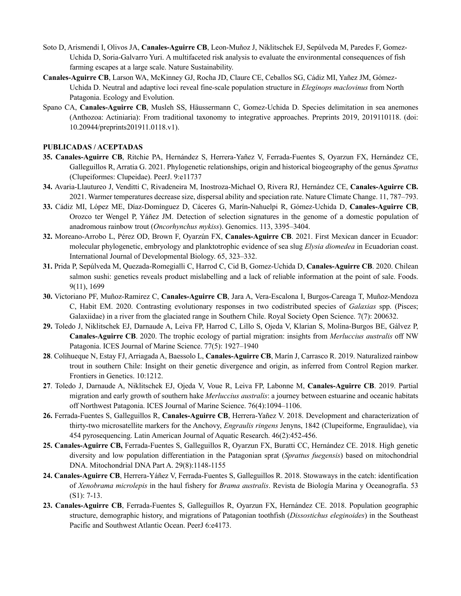- Soto D, Arismendi I, Olivos JA, **Canales-Aguirre CB**, Leon-Muñoz J, Niklitschek EJ, Sepúlveda M, Paredes F, Gomez-Uchida D, Soria-Galvarro Yuri. A multifaceted risk analysis to evaluate the environmental consequences of fish farming escapes at a large scale. Nature Sustainability.
- **Canales-Aguirre CB**, Larson WA, McKinney GJ, Rocha JD, Claure CE, Ceballos SG, Cádiz MI, Yañez JM, Gómez-Uchida D. Neutral and adaptive loci reveal fine-scale population structure in *Eleginops maclovinus* from North Patagonia. Ecology and Evolution.
- Spano CA, **Canales-Aguirre CB**, Musleh SS, Häussermann C, Gomez-Uchida D. Species delimitation in sea anemones (Anthozoa: Actiniaria): From traditional taxonomy to integrative approaches. Preprints 2019, 2019110118. (doi: 10.20944/preprints201911.0118.v1).

# **PUBLICADAS / ACEPTADAS**

- **35. Canales-Aguirre CB**, Ritchie PA, Hernández S, Herrera-Yañez V, Ferrada-Fuentes S, Oyarzun FX, Hernández CE, Galleguillos R, Arratia G. 2021. Phylogenetic relationships, origin and historical biogeography of the genus *Sprattus* (Clupeiformes: Clupeidae). PeerJ. 9:e11737
- **34.** Avaria-Llautureo J, Venditti C, Rivadeneira M, Inostroza-Michael O, Rivera RJ, Hernández CE, **Canales-Aguirre CB.** 2021. Warmer temperatures decrease size, dispersal ability and speciation rate. Nature Climate Change. 11, 787–793.
- **33.** Cádiz MI, López ME, Díaz-Domínguez D, Cáceres G, Marín-Nahuelpi R, Gómez-Uchida D, **Canales-Aguirre CB**, Orozco ter Wengel P, Yáñez JM. Detection of selection signatures in the genome of a domestic population of anadromous rainbow trout (*Oncorhynchus mykiss*). Genomics. 113, 3395–3404.
- **32.** Moreano-Arrobo L, Pérez OD, Brown F, Oyarzún FX, **Canales-Aguirre CB**. 2021. First Mexican dancer in Ecuador: molecular phylogenetic, embryology and planktotrophic evidence of sea slug *Elysia diomedea* in Ecuadorian coast. International Journal of Developmental Biology. 65, 323–332.
- **31.** Prida P, Sepúlveda M, Quezada-Romegialli C, Harrod C, Cid B, Gomez-Uchida D, **Canales-Aguirre CB**. 2020. Chilean salmon sushi: genetics reveals product mislabelling and a lack of reliable information at the point of sale. Foods. 9(11), 1699
- **30.** Victoriano PF, Muñoz-Ramirez C, **Canales-Aguirre CB**, Jara A, Vera-Escalona I, Burgos-Careaga T, Muñoz-Mendoza C, Habit EM. 2020. Contrasting evolutionary responses in two codistributed species of *Galaxias* spp. (Pisces; Galaxiidae) in a river from the glaciated range in Southern Chile. Royal Society Open Science. 7(7): 200632.
- **29.** Toledo J, Niklitschek EJ, Darnaude A, Leiva FP, Harrod C, Lillo S, Ojeda V, Klarian S, Molina-Burgos BE, Gálvez P, **Canales-Aguirre CB**. 2020. The trophic ecology of partial migration: insights from *Merluccius australis* off NW Patagonia. ICES Journal of Marine Science. 77(5): 1927–1940
- **28**. Colihueque N, Estay FJ, Arriagada A, Baessolo L, **Canales-Aguirre CB**, Marín J, Carrasco R. 2019. Naturalized rainbow trout in southern Chile: Insight on their genetic divergence and origin, as inferred from Control Region marker. Frontiers in Genetics. 10:1212.
- **27**. Toledo J, Darnaude A, Niklitschek EJ, Ojeda V, Voue R, Leiva FP, Labonne M, **Canales-Aguirre CB**. 2019. Partial migration and early growth of southern hake *Merluccius australis*: a journey between estuarine and oceanic habitats off Northwest Patagonia. ICES Journal of Marine Science. 76(4):1094–1106.
- **26.** Ferrada-Fuentes S, Galleguillos R, **Canales-Aguirre CB**, Herrera-Yañez V. 2018. Development and characterization of thirty-two microsatellite markers for the Anchovy, *Engraulis ringens* Jenyns, 1842 (Clupeiforme, Engraulidae), via 454 pyrosequencing. Latin American Journal of Aquatic Research. 46(2):452-456.
- **25. Canales-Aguirre CB,** Ferrada-Fuentes S, Galleguillos R, Oyarzun FX, Buratti CC, Hernández CE. 2018. High genetic diversity and low population differentiation in the Patagonian sprat (*Sprattus fuegensis*) based on mitochondrial DNA. Mitochondrial DNA Part A. 29(8):1148-1155
- **24. Canales-Aguirre CB**, Herrera-Yáñez V, Ferrada-Fuentes S, Galleguillos R. 2018. Stowaways in the catch: identification of *Xenobrama microlepis* in the haul fishery for *Brama australis*. Revista de Biología Marina y Oceanografía. 53 (S1): 7-13.
- **23. Canales-Aguirre CB**, Ferrada-Fuentes S, Galleguillos R, Oyarzun FX, Hernández CE. 2018. Population geographic structure, demographic history, and migrations of Patagonian toothfish (*Dissostichus eleginoides*) in the Southeast Pacific and Southwest Atlantic Ocean. PeerJ 6:e4173.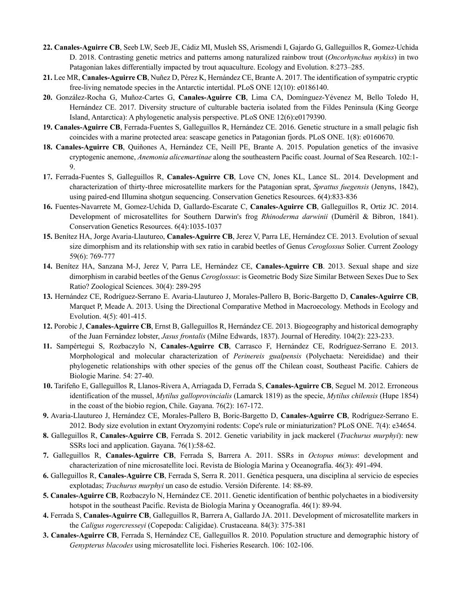- **22. Canales-Aguirre CB**, Seeb LW, Seeb JE, Cádiz MI, Musleh SS, Arismendi I, Gajardo G, Galleguillos R, Gomez-Uchida D. 2018. Contrasting genetic metrics and patterns among naturalized rainbow trout (*Oncorhynchus mykiss*) in two Patagonian lakes differentially impacted by trout aquaculture. Ecology and Evolution. 8:273–285.
- **21.** Lee MR, **Canales-Aguirre CB**, Nuñez D, Pérez K, Hernández CE, Brante A. 2017. The identification of sympatric cryptic free-living nematode species in the Antarctic intertidal. PLoS ONE 12(10): e0186140.
- **20.** González-Rocha G, Muñoz-Cartes G, **Canales-Aguirre CB**, Lima CA, Domínguez-Yévenez M, Bello Toledo H, Hernández CE. 2017. Diversity structure of culturable bacteria isolated from the Fildes Peninsula (King George Island, Antarctica): A phylogenetic analysis perspective. PLoS ONE 12(6):e0179390.
- **19. Canales-Aguirre CB**, Ferrada-Fuentes S, Galleguillos R, Hernández CE. 2016. Genetic structure in a small pelagic fish coincides with a marine protected area: seascape genetics in Patagonian fjords. PLoS ONE. 1(8): e0160670.
- **18. Canales-Aguirre CB**, Quiñones A, Hernández CE, Neill PE, Brante A. 2015. Population genetics of the invasive cryptogenic anemone, *Anemonia alicemartinae* along the southeastern Pacific coast. Journal of Sea Research. 102:1- 9.
- **1**7**.** Ferrada-Fuentes S, Galleguillos R, **Canales-Aguirre CB**, Love CN, Jones KL, Lance SL. 2014. Development and characterization of thirty-three microsatellite markers for the Patagonian sprat, *Sprattus fuegensis* (Jenyns, 1842), using paired-end Illumina shotgun sequencing. Conservation Genetics Resources. 6(4):833-836
- **16.** Fuentes-Navarrete M, Gomez-Uchida D, Gallardo-Escarate C, **Canales-Aguirre CB**, Galleguillos R, Ortiz JC. 2014. Development of microsatellites for Southern Darwin's frog *Rhinoderma darwinii* (Duméril & Bibron, 1841). Conservation Genetics Resources. 6(4):1035-1037
- **15.** Benítez HA, Jorge Avaria-Llautureo, **Canales-Aguirre CB**, Jerez V, Parra LE, Hernández CE. 2013. Evolution of sexual size dimorphism and its relationship with sex ratio in carabid beetles of Genus *Ceroglossus* Solier. Current Zoology 59(6): 769-777
- **14.** Benítez HA, Sanzana M-J, Jerez V, Parra LE, Hernández CE, **Canales-Aguirre CB**. 2013. Sexual shape and size dimorphism in carabid beetles of the Genus *Ceroglossus*: is Geometric Body Size Similar Between Sexes Due to Sex Ratio? Zoological Sciences. 30(4): 289-295
- **13.** Hernández CE, Rodríguez-Serrano E. Avaria-Llautureo J, Morales-Pallero B, Boric-Bargetto D, **Canales-Aguirre CB**, Marquet P, Meade A. 2013. Using the Directional Comparative Method in Macroecology. Methods in Ecology and Evolution. 4(5): 401-415.
- **12.** Porobic J, **Canales-Aguirre CB**, Ernst B, Galleguillos R, Hernández CE. 2013. Biogeography and historical demography of the Juan Fernández lobster, *Jasus frontalis* (Milne Edwards, 1837). Journal of Heredity. 104(2): 223-233.
- **11.** Sampértegui S, Rozbaczylo N, **Canales-Aguirre CB**, Carrasco F, Hernández CE, Rodríguez-Serrano E. 2013. Morphological and molecular characterization of *Perinereis gualpensis* (Polychaeta: Nereididae) and their phylogenetic relationships with other species of the genus off the Chilean coast, Southeast Pacific. Cahiers de Biologie Marine. 54: 27-40.
- **10.** Tarifeño E, Galleguillos R, Llanos-Rivera A, Arriagada D, Ferrada S, **Canales-Aguirre CB**, Seguel M. 2012. Erroneous identification of the mussel, *Mytilus galloprovincialis* (Lamarck 1819) as the specie, *Mytilus chilensis* (Hupe 1854) in the coast of the biobio region, Chile. Gayana. 76(2): 167-172.
- **9.** Avaria-Llautureo J, Hernández CE, Morales-Pallero B, Boric-Bargetto D, **Canales-Aguirre CB**, Rodríguez-Serrano E. 2012. Body size evolution in extant Oryzomyini rodents: Cope's rule or miniaturization? PLoS ONE. 7(4): e34654.
- **8.** Galleguillos R, **Canales-Aguirre CB**, Ferrada S. 2012. Genetic variability in jack mackerel (*Trachurus murphyi*): new SSRs loci and application. Gayana. 76(1):58-62.
- **7.** Galleguillos R, **Canales-Aguirre CB**, Ferrada S, Barrera A. 2011. SSRs in *Octopus mimus*: development and characterization of nine microsatellite loci. Revista de Biología Marina y Oceanografía. 46(3): 491-494.
- **6.** Galleguillos R, **Canales-Aguirre CB**, Ferrada S, Serra R. 2011. Genética pesquera, una disciplina al servicio de especies explotadas; *Trachurus murphyi* un caso de estudio. Versión Diferente. 14: 88-89.
- **5. Canales-Aguirre CB**, Rozbaczylo N, Hernández CE. 2011. Genetic identification of benthic polychaetes in a biodiversity hotspot in the southeast Pacific. Revista de Biología Marina y Oceanografía. 46(1): 89-94.
- **4.** Ferrada S, **Canales-Aguirre CB**, Galleguillos R, Barrera A, Gallardo JA. 2011. Development of microsatellite markers in the *Caligus rogercresseyi* (Copepoda: Caligidae). Crustaceana. 84(3): 375-381
- **3. Canales-Aguirre CB**, Ferrada S, Hernández CE, Galleguillos R. 2010. Population structure and demographic history of *Genypterus blacodes* using microsatellite loci. Fisheries Research. 106: 102-106.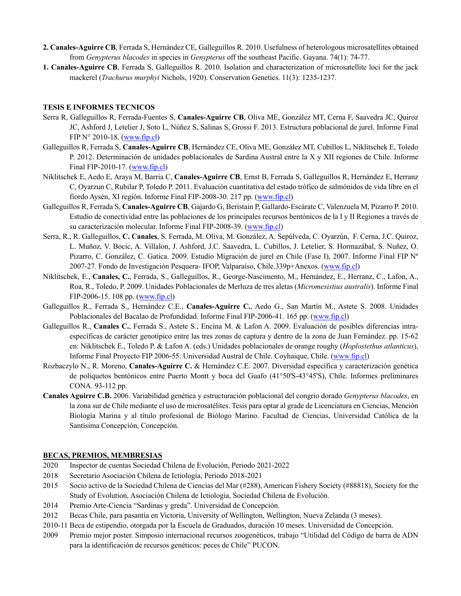- **2. Canales-Aguirre CB**, Ferrada S, Hernández CE, Galleguillos R. 2010. Usefulness of heterologous microsatellites obtained from *Genypterus blacodes* in species in *Genypterus* off the southeast Pacific. Gayana. 74(1): 74-77.
- **1. Canales-Aguirre CB**, Ferrada S, Galleguillos R. 2010. Isolation and characterization of microsatellite loci for the jack mackerel (*Trachurus murphyi* Nichols, 1920). Conservation Genetics. 11(3): 1235-1237.

# **TESIS E INFORMES TECNICOS**

- Serra R, Galleguillos R, Ferrada-Fuentes S, **Canales-Aguirre CB**, Oliva ME, González MT, Cerna F, Saavedra JC, Quiroz JC, Ashford J, Letelier J, Soto L, Núñez S, Salinas S, Grossi F. 2013. Estructura poblacional de jurel. Informe Final FIP N° 2010-18. (www.fip.cl)
- Galleguillos R, Ferrada S, **Canales-Aguirre CB**, Hernández CE, Oliva ME, González MT, Cubillos L, Niklitschek E, Toledo P. 2012. Determinación de unidades poblacionales de Sardina Austral entre la X y XII regiones de Chile. Informe Final FIP-2010-17. (www.fip.cl)
- Niklitschek E, Aedo E, Araya M, Barria C, **Canales-Aguirre CB**, Ernst B, Ferrada S, Galleguillos R, Hernández E, Herranz C, Oyarzun C, Rubilar P, Toledo P. 2011. Evaluación cuantitativa del estado trófico de salmónidos de vida libre en el fiordo Aysén, XI región. Informe Final FIP-2008-30. 217 pp. (www.fip.cl)
- Galleguillos R, Ferrada S, **Canales-Aguirre CB**, Gajardo G, Beristain P, Gallardo-Escárate C, Valenzuela M, Pizarro P. 2010. Estudio de conectividad entre las poblaciones de los principales recursos bentónicos de la I y II Regiones a través de su caracterización molecular. Informe Final FIP-2008-39. (www.fip.cl)
- Serra, R., R. Galleguillos, **C. Canales**, S. Ferrada, M. Oliva, M. González, A. Sepúlveda, C. Oyarzún, F. Cerna, J.C. Quiroz, L. Muñoz, V. Bocic, A. Villalon, J. Ashford, J.C. Saavedra, L. Cubillos, J. Letelier, S. Hormazábal, S. Nuñez, O. Pizarro, C. González, C. Gatica. 2009. Estudio Migración de jurel en Chile (Fase I), 2007. Informe Final FIP Nº 2007-27. Fondo de Investigación Pesquera- IFOP, Valparaíso, Chile.339p+Anexos. (www.fip.cl)
- Niklitschek, E., **Canales, C.**, Ferrada, S., Galleguillos, R., George-Nascimento, M., Hernández, E., Herranz, C., Lafon, A., Roa, R., Toledo, P. 2009. Unidades Poblacionales de Merluza de tres aletas (*Micromesistius australis*). Informe Final FIP-2006-15. 108 pp. (www.fip.cl)
- Galleguillos R., Ferrada S., Hernández C.E., **Canales-Aguirre C.**, Aedo G., San Martín M., Astete S. 2008. Unidades Poblacionales del Bacalao de Profundidad. Informe Final FIP-2006-41. 165 pp. (www.fip.cl)
- Galleguillos R., **Canales C.**, Ferrada S., Astete S., Encina M. & Lafon A. 2009. Evaluación de posibles diferencias intraespecíficas de carácter genotípico entre las tres zonas de captura y dentro de la zona de Juan Fernández. pp. 15-62 en: Niklitschek E., Toledo P. & Lafon A. (eds.) Unidades poblacionales de orange roughy (*Hoplostethus atlanticus*), Informe Final Proyecto FIP 2006-55. Universidad Austral de Chile. Coyhaique, Chile. (www.fip.cl)
- Rozbaczylo N., R. Moreno, **Canales-Aguirre C.** & Hernández C.E. 2007. Diversidad específica y caracterización genética de poliquetos bentónicos entre Puerto Montt y boca del Guafo (41°50'S-43°45'S), Chile. Informes preliminares CONA. 93-112 pp.
- **Canales Aguirre C.B.** 2006. Variabilidad genética y estructuración poblacional del congrio dorado *Genypterus blacodes*, en la zona sur de Chile mediante el uso de microsatélites. Tesis para optar al grade de Licenciatura en Ciencias, Mención Biología Marina y al título profesional de Biólogo Marino. Facultad de Ciencias, Universidad Católica de la Santísima Concepción, Concepción.

# **BECAS, PREMIOS, MEMBRESIAS**

- 2020 Inspector de cuentas Sociedad Chilena de Evolución, Periodo 2021-2022
- 2018 Secretario Asociación Chilena de Ictiología, Periodo 2018-2021
- 2015 Socio activo de la Sociedad Chilena de Ciencias del Mar (#288), American Fishery Society (#88818), Society for the Study of Evolution, Asociación Chilena de Ictiologia, Sociedad Chilena de Evolución.
- 2014 Premio Arte-Ciencia "Sardinas y greda". Universidad de Concepción.
- 2012 Becas Chile, para pasantía en Victoria, University of Wellington, Wellington, Nueva Zelanda (3 meses).
- 2010-11 Beca de estipendio, otorgada por la Escuela de Graduados, duración 10 meses. Universidad de Concepción.
- 2009 Premio mejor poster. Simposio internacional recursos zoogenéticos, trabajo "Utilidad del Código de barra de ADN para la identificación de recursos genéticos: peces de Chile" PUCON.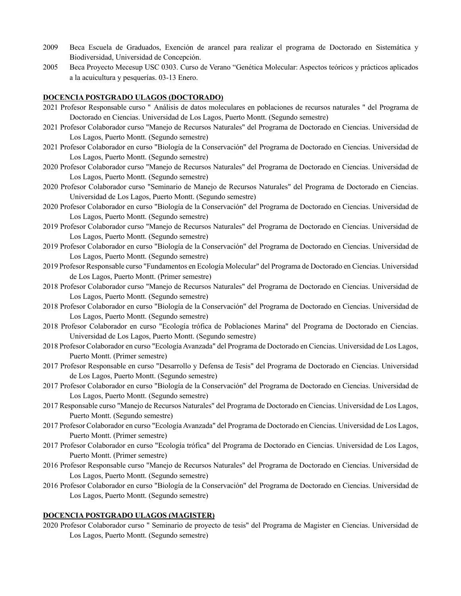- 2009 Beca Escuela de Graduados, Exención de arancel para realizar el programa de Doctorado en Sistemática y Biodiversidad, Universidad de Concepción.
- 2005 Beca Proyecto Mecesup USC 0303. Curso de Verano "Genética Molecular: Aspectos teóricos y prácticos aplicados a la acuicultura y pesquerías. 03-13 Enero.

### **DOCENCIA POSTGRADO ULAGOS (DOCTORADO)**

- 2021 Profesor Responsable curso " Análisis de datos moleculares en poblaciones de recursos naturales " del Programa de Doctorado en Ciencias. Universidad de Los Lagos, Puerto Montt. (Segundo semestre)
- 2021 Profesor Colaborador curso "Manejo de Recursos Naturales" del Programa de Doctorado en Ciencias. Universidad de Los Lagos, Puerto Montt. (Segundo semestre)
- 2021 Profesor Colaborador en curso "Biología de la Conservación" del Programa de Doctorado en Ciencias. Universidad de Los Lagos, Puerto Montt. (Segundo semestre)
- 2020 Profesor Colaborador curso "Manejo de Recursos Naturales" del Programa de Doctorado en Ciencias. Universidad de Los Lagos, Puerto Montt. (Segundo semestre)
- 2020 Profesor Colaborador curso "Seminario de Manejo de Recursos Naturales" del Programa de Doctorado en Ciencias. Universidad de Los Lagos, Puerto Montt. (Segundo semestre)
- 2020 Profesor Colaborador en curso "Biología de la Conservación" del Programa de Doctorado en Ciencias. Universidad de Los Lagos, Puerto Montt. (Segundo semestre)
- 2019 Profesor Colaborador curso "Manejo de Recursos Naturales" del Programa de Doctorado en Ciencias. Universidad de Los Lagos, Puerto Montt. (Segundo semestre)
- 2019 Profesor Colaborador en curso "Biología de la Conservación" del Programa de Doctorado en Ciencias. Universidad de Los Lagos, Puerto Montt. (Segundo semestre)
- 2019 Profesor Responsable curso "Fundamentos en Ecología Molecular" del Programa de Doctorado en Ciencias. Universidad de Los Lagos, Puerto Montt. (Primer semestre)
- 2018 Profesor Colaborador curso "Manejo de Recursos Naturales" del Programa de Doctorado en Ciencias. Universidad de Los Lagos, Puerto Montt. (Segundo semestre)
- 2018 Profesor Colaborador en curso "Biología de la Conservación" del Programa de Doctorado en Ciencias. Universidad de Los Lagos, Puerto Montt. (Segundo semestre)
- 2018 Profesor Colaborador en curso "Ecología trófica de Poblaciones Marina" del Programa de Doctorado en Ciencias. Universidad de Los Lagos, Puerto Montt. (Segundo semestre)
- 2018 Profesor Colaborador en curso "Ecología Avanzada" del Programa de Doctorado en Ciencias. Universidad de Los Lagos, Puerto Montt. (Primer semestre)
- 2017 Profesor Responsable en curso "Desarrollo y Defensa de Tesis" del Programa de Doctorado en Ciencias. Universidad de Los Lagos, Puerto Montt. (Segundo semestre)
- 2017 Profesor Colaborador en curso "Biología de la Conservación" del Programa de Doctorado en Ciencias. Universidad de Los Lagos, Puerto Montt. (Segundo semestre)
- 2017 Responsable curso "Manejo de Recursos Naturales" del Programa de Doctorado en Ciencias. Universidad de Los Lagos, Puerto Montt. (Segundo semestre)
- 2017 Profesor Colaborador en curso "Ecología Avanzada" del Programa de Doctorado en Ciencias. Universidad de Los Lagos, Puerto Montt. (Primer semestre)
- 2017 Profesor Colaborador en curso "Ecología trófica" del Programa de Doctorado en Ciencias. Universidad de Los Lagos, Puerto Montt. (Primer semestre)
- 2016 Profesor Responsable curso "Manejo de Recursos Naturales" del Programa de Doctorado en Ciencias. Universidad de Los Lagos, Puerto Montt. (Segundo semestre)
- 2016 Profesor Colaborador en curso "Biología de la Conservación" del Programa de Doctorado en Ciencias. Universidad de Los Lagos, Puerto Montt. (Segundo semestre)

### **DOCENCIA POSTGRADO ULAGOS (MAGISTER)**

2020 Profesor Colaborador curso " Seminario de proyecto de tesis" del Programa de Magister en Ciencias. Universidad de Los Lagos, Puerto Montt. (Segundo semestre)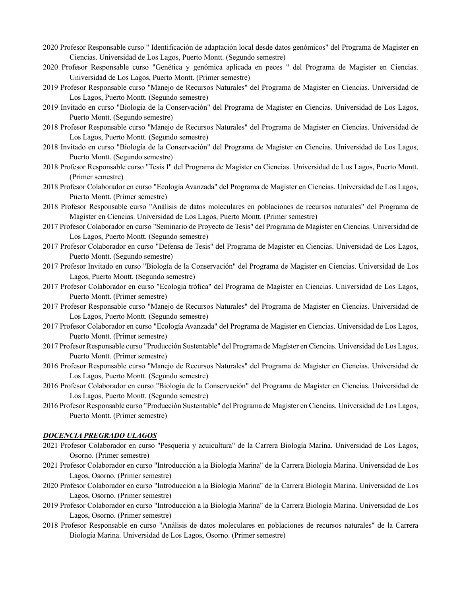- 2020 Profesor Responsable curso " Identificación de adaptación local desde datos genómicos" del Programa de Magister en Ciencias. Universidad de Los Lagos, Puerto Montt. (Segundo semestre)
- 2020 Profesor Responsable curso "Genética y genómica aplicada en peces " del Programa de Magister en Ciencias. Universidad de Los Lagos, Puerto Montt. (Primer semestre)
- 2019 Profesor Responsable curso "Manejo de Recursos Naturales" del Programa de Magister en Ciencias. Universidad de Los Lagos, Puerto Montt. (Segundo semestre)
- 2019 Invitado en curso "Biología de la Conservación" del Programa de Magister en Ciencias. Universidad de Los Lagos, Puerto Montt. (Segundo semestre)
- 2018 Profesor Responsable curso "Manejo de Recursos Naturales" del Programa de Magister en Ciencias. Universidad de Los Lagos, Puerto Montt. (Segundo semestre)
- 2018 Invitado en curso "Biología de la Conservación" del Programa de Magister en Ciencias. Universidad de Los Lagos, Puerto Montt. (Segundo semestre)
- 2018 Profesor Responsable curso "Tesis I" del Programa de Magister en Ciencias. Universidad de Los Lagos, Puerto Montt. (Primer semestre)
- 2018 Profesor Colaborador en curso "Ecología Avanzada" del Programa de Magister en Ciencias. Universidad de Los Lagos, Puerto Montt. (Primer semestre)
- 2018 Profesor Responsable curso "Análisis de datos moleculares en poblaciones de recursos naturales" del Programa de Magister en Ciencias. Universidad de Los Lagos, Puerto Montt. (Primer semestre)
- 2017 Profesor Colaborador en curso "Seminario de Proyecto de Tesis" del Programa de Magister en Ciencias. Universidad de Los Lagos, Puerto Montt. (Segundo semestre)
- 2017 Profesor Colaborador en curso "Defensa de Tesis" del Programa de Magister en Ciencias. Universidad de Los Lagos, Puerto Montt. (Segundo semestre)
- 2017 Profesor Invitado en curso "Biología de la Conservación" del Programa de Magister en Ciencias. Universidad de Los Lagos, Puerto Montt. (Segundo semestre)
- 2017 Profesor Colaborador en curso "Ecología trófica" del Programa de Magister en Ciencias. Universidad de Los Lagos, Puerto Montt. (Primer semestre)
- 2017 Profesor Responsable curso "Manejo de Recursos Naturales" del Programa de Magister en Ciencias. Universidad de Los Lagos, Puerto Montt. (Segundo semestre)
- 2017 Profesor Colaborador en curso "Ecología Avanzada" del Programa de Magister en Ciencias. Universidad de Los Lagos, Puerto Montt. (Primer semestre)
- 2017 Profesor Responsable curso "Producción Sustentable" del Programa de Magíster en Ciencias. Universidad de Los Lagos, Puerto Montt. (Primer semestre)
- 2016 Profesor Responsable curso "Manejo de Recursos Naturales" del Programa de Magister en Ciencias. Universidad de Los Lagos, Puerto Montt. (Segundo semestre)
- 2016 Profesor Colaborador en curso "Biología de la Conservación" del Programa de Magister en Ciencias. Universidad de Los Lagos, Puerto Montt. (Segundo semestre)
- 2016 Profesor Responsable curso "Producción Sustentable" del Programa de Magíster en Ciencias. Universidad de Los Lagos, Puerto Montt. (Primer semestre)

### *DOCENCIA PREGRADO ULAGOS*

- 2021 Profesor Colaborador en curso "Pesquería y acuicultura" de la Carrera Biología Marina. Universidad de Los Lagos, Osorno. (Primer semestre)
- 2021 Profesor Colaborador en curso "Introducción a la Biología Marina" de la Carrera Biología Marina. Universidad de Los Lagos, Osorno. (Primer semestre)
- 2020 Profesor Colaborador en curso "Introducción a la Biología Marina" de la Carrera Biología Marina. Universidad de Los Lagos, Osorno. (Primer semestre)
- 2019 Profesor Colaborador en curso "Introducción a la Biología Marina" de la Carrera Biología Marina. Universidad de Los Lagos, Osorno. (Primer semestre)
- 2018 Profesor Responsable en curso "Análisis de datos moleculares en poblaciones de recursos naturales" de la Carrera Biología Marina. Universidad de Los Lagos, Osorno. (Primer semestre)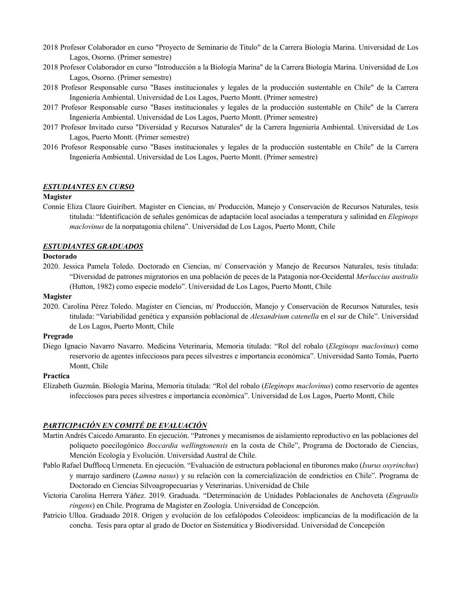- 2018 Profesor Colaborador en curso "Proyecto de Seminario de Titulo" de la Carrera Biología Marina. Universidad de Los Lagos, Osorno. (Primer semestre)
- 2018 Profesor Colaborador en curso "Introducción a la Biología Marina" de la Carrera Biología Marina. Universidad de Los Lagos, Osorno. (Primer semestre)
- 2018 Profesor Responsable curso "Bases institucionales y legales de la producción sustentable en Chile" de la Carrera Ingeniería Ambiental. Universidad de Los Lagos, Puerto Montt. (Primer semestre)
- 2017 Profesor Responsable curso "Bases institucionales y legales de la producción sustentable en Chile" de la Carrera Ingeniería Ambiental. Universidad de Los Lagos, Puerto Montt. (Primer semestre)
- 2017 Profesor Invitado curso "Diversidad y Recursos Naturales" de la Carrera Ingeniería Ambiental. Universidad de Los Lagos, Puerto Montt. (Primer semestre)
- 2016 Profesor Responsable curso "Bases institucionales y legales de la producción sustentable en Chile" de la Carrera Ingeniería Ambiental. Universidad de Los Lagos, Puerto Montt. (Primer semestre)

## *ESTUDIANTES EN CURSO*

#### **Magister**

Connie Eliza Claure Guiribert. Magister en Ciencias, m/ Producción, Manejo y Conservación de Recursos Naturales, tesis titulada: "Identificación de señales genómicas de adaptación local asociadas a temperatura y salinidad en *Eleginops maclovinus* de la norpatagonia chilena". Universidad de Los Lagos, Puerto Montt, Chile

### *ESTUDIANTES GRADUADOS*

# **Doctorado**

2020. Jessica Pamela Toledo. Doctorado en Ciencias, m/ Conservación y Manejo de Recursos Naturales, tesis titulada: "Diversidad de patrones migratorios en una población de peces de la Patagonia nor-Occidental *Merluccius australis* (Hutton, 1982) como especie modelo". Universidad de Los Lagos, Puerto Montt, Chile

### **Magister**

2020. Carolina Pérez Toledo. Magister en Ciencias, m/ Producción, Manejo y Conservación de Recursos Naturales, tesis titulada: "Variabilidad genética y expansión poblacional de *Alexandrium catenella* en el sur de Chile". Universidad de Los Lagos, Puerto Montt, Chile

# **Pregrado**

Diego Ignacio Navarro Navarro. Medicina Veterinaria, Memoria titulada: "Rol del robalo (*Eleginops maclovinus*) como reservorio de agentes infecciosos para peces silvestres e importancia económica". Universidad Santo Tomás, Puerto Montt, Chile

### **Practica**

Elizabeth Guzmán. Biología Marina, Memoria titulada: "Rol del robalo (*Eleginops maclovinus*) como reservorio de agentes infecciosos para peces silvestres e importancia económica". Universidad de Los Lagos, Puerto Montt, Chile

# *PARTICIPACIÓN EN COMITÉ DE EVALUACIÓN*

- Martin Andrés Caicedo Amaranto. En ejecución. "Patrones y mecanismos de aislamiento reproductivo en las poblaciones del poliqueto poecilogónico *Boccardia wellingtonensis* en la costa de Chile", Programa de Doctorado de Ciencias, Mención Ecología y Evolución. Universidad Austral de Chile.
- Pablo Rafael Dufflocq Urmeneta. En ejecución. "Evaluación de estructura poblacional en tiburones mako (*Isurus oxyrinchus*) y marrajo sardinero (*Lamna nasus*) y su relación con la comercialización de condrictios en Chile". Programa de Doctorado en Ciencias Silvoagropecuarias y Veterinarias. Universidad de Chile
- Victoria Carolina Herrera Yáñez. 2019. Graduada. "Determinación de Unidades Poblacionales de Anchoveta (*Engraulis ringens*) en Chile. Programa de Magister en Zoología. Universidad de Concepción.
- Patricio Ulloa. Graduado 2018. Origen y evolución de los cefalópodos Coleoideos: implicancias de la modificación de la concha. Tesis para optar al grado de Doctor en Sistemática y Biodiversidad. Universidad de Concepción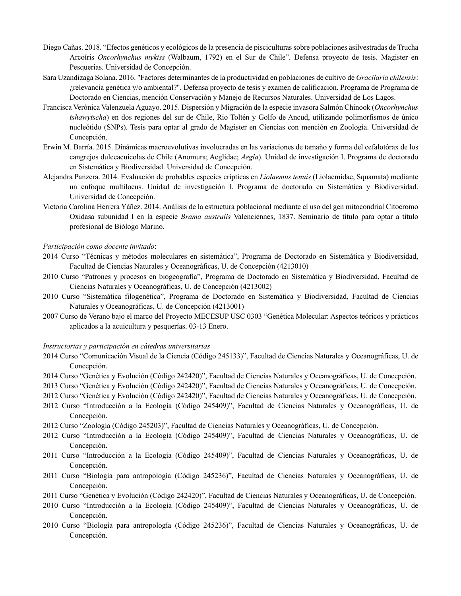- Diego Cañas. 2018. "Efectos genéticos y ecológicos de la presencia de pisciculturas sobre poblaciones asilvestradas de Trucha Arcoíris *Oncorhynchus mykiss* (Walbaum, 1792) en el Sur de Chile". Defensa proyecto de tesis. Magister en Pesquerias. Universidad de Concepción.
- Sara Uzandizaga Solana. 2016. "Factores determinantes de la productividad en poblaciones de cultivo de *Gracilaria chilensis*: ¿relevancia genética y/o ambiental?". Defensa proyecto de tesis y examen de calificación. Programa de Programa de Doctorado en Ciencias, mención Conservación y Manejo de Recursos Naturales. Universidad de Los Lagos.
- Francisca Verónica Valenzuela Aguayo. 2015. Dispersión y Migración de la especie invasora Salmón Chinook (*Oncorhynchus tshawytscha*) en dos regiones del sur de Chile, Rio Toltén y Golfo de Ancud, utilizando polimorfismos de único nucleótido (SNPs). Tesis para optar al grado de Magister en Ciencias con mención en Zoología. Universidad de Concepción.
- Erwin M. Barría. 2015. Dinámicas macroevolutivas involucradas en las variaciones de tamaño y forma del cefalotórax de los cangrejos dulceacuícolas de Chile (Anomura; Aeglidae; *Aegla*). Unidad de investigación I. Programa de doctorado en Sistemática y Biodiversidad. Universidad de Concepción.
- Alejandra Panzera. 2014. Evaluación de probables especies cripticas en *Liolaemus tenuis* (Liolaemidae, Squamata) mediante un enfoque multilocus. Unidad de investigación I. Programa de doctorado en Sistemática y Biodiversidad. Universidad de Concepción.
- Victoria Carolina Herrera Yáñez. 2014. Análisis de la estructura poblacional mediante el uso del gen mitocondrial Citocromo Oxidasa subunidad I en la especie *Brama australis* Valenciennes, 1837. Seminario de titulo para optar a titulo profesional de Biólogo Marino.

### *Participación como docente invitado*:

- 2014 Curso "Técnicas y métodos moleculares en sistemática", Programa de Doctorado en Sistemática y Biodiversidad, Facultad de Ciencias Naturales y Oceanográficas, U. de Concepción (4213010)
- 2010 Curso "Patrones y procesos en biogeografía", Programa de Doctorado en Sistemática y Biodiversidad, Facultad de Ciencias Naturales y Oceanográficas, U. de Concepción (4213002)
- 2010 Curso "Sistemática filogenética", Programa de Doctorado en Sistemática y Biodiversidad, Facultad de Ciencias Naturales y Oceanográficas, U. de Concepción (4213001)
- 2007 Curso de Verano bajo el marco del Proyecto MECESUP USC 0303 "Genética Molecular: Aspectos teóricos y prácticos aplicados a la acuicultura y pesquerías. 03-13 Enero.

#### *Instructorias y participación en cátedras universitarias*

- 2014 Curso "Comunicación Visual de la Ciencia (Código 245133)", Facultad de Ciencias Naturales y Oceanográficas, U. de Concepción.
- 2014 Curso "Genética y Evolución (Código 242420)", Facultad de Ciencias Naturales y Oceanográficas, U. de Concepción.
- 2013 Curso "Genética y Evolución (Código 242420)", Facultad de Ciencias Naturales y Oceanográficas, U. de Concepción.
- 2012 Curso "Genética y Evolución (Código 242420)", Facultad de Ciencias Naturales y Oceanográficas, U. de Concepción.
- 2012 Curso "Introducción a la Ecología (Código 245409)", Facultad de Ciencias Naturales y Oceanográficas, U. de Concepción.
- 2012 Curso "Zoología (Código 245203)", Facultad de Ciencias Naturales y Oceanográficas, U. de Concepción.
- 2012 Curso "Introducción a la Ecología (Código 245409)", Facultad de Ciencias Naturales y Oceanográficas, U. de Concepción.
- 2011 Curso "Introducción a la Ecología (Código 245409)", Facultad de Ciencias Naturales y Oceanográficas, U. de Concepción.
- 2011 Curso "Biología para antropología (Código 245236)", Facultad de Ciencias Naturales y Oceanográficas, U. de Concepción.
- 2011 Curso "Genética y Evolución (Código 242420)", Facultad de Ciencias Naturales y Oceanográficas, U. de Concepción.
- 2010 Curso "Introducción a la Ecología (Código 245409)", Facultad de Ciencias Naturales y Oceanográficas, U. de Concepción.
- 2010 Curso "Biología para antropología (Código 245236)", Facultad de Ciencias Naturales y Oceanográficas, U. de Concepción.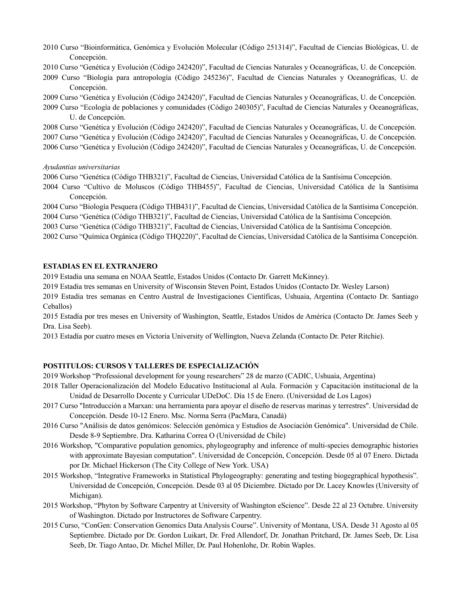- 2010 Curso "Bioinformática, Genómica y Evolución Molecular (Código 251314)", Facultad de Ciencias Biológicas, U. de Concepción.
- 2010 Curso "Genética y Evolución (Código 242420)", Facultad de Ciencias Naturales y Oceanográficas, U. de Concepción.
- 2009 Curso "Biología para antropología (Código 245236)", Facultad de Ciencias Naturales y Oceanográficas, U. de Concepción.
- 2009 Curso "Genética y Evolución (Código 242420)", Facultad de Ciencias Naturales y Oceanográficas, U. de Concepción.
- 2009 Curso "Ecología de poblaciones y comunidades (Código 240305)", Facultad de Ciencias Naturales y Oceanográficas, U. de Concepción.
- 2008 Curso "Genética y Evolución (Código 242420)", Facultad de Ciencias Naturales y Oceanográficas, U. de Concepción.
- 2007 Curso "Genética y Evolución (Código 242420)", Facultad de Ciencias Naturales y Oceanográficas, U. de Concepción.
- 2006 Curso "Genética y Evolución (Código 242420)", Facultad de Ciencias Naturales y Oceanográficas, U. de Concepción.

*Ayudantias universitarias*

2006 Curso "Genética (Código THB321)", Facultad de Ciencias, Universidad Católica de la Santísima Concepción.

2004 Curso "Cultivo de Moluscos (Código THB455)", Facultad de Ciencias, Universidad Católica de la Santísima Concepción.

2004 Curso "Biología Pesquera (Código THB431)", Facultad de Ciencias, Universidad Católica de la Santísima Concepción. 2004 Curso "Genética (Código THB321)", Facultad de Ciencias, Universidad Católica de la Santísima Concepción.

2003 Curso "Genética (Código THB321)", Facultad de Ciencias, Universidad Católica de la Santísima Concepción.

2002 Curso "Química Orgánica (Código THQ220)", Facultad de Ciencias, Universidad Católica de la Santísima Concepción.

## **ESTADIAS EN EL EXTRANJERO**

2019 Estadia una semana en NOAA Seattle, Estados Unidos (Contacto Dr. Garrett McKinney).

2019 Estadia tres semanas en University of Wisconsin Steven Point, Estados Unidos (Contacto Dr. Wesley Larson)

2019 Estadia tres semanas en Centro Austral de Investigaciones Científicas, Ushuaia, Argentina (Contacto Dr. Santiago Ceballos)

2015 Estadía por tres meses en University of Washington, Seattle, Estados Unidos de América (Contacto Dr. James Seeb y Dra. Lisa Seeb).

2013 Estadía por cuatro meses en Victoria University of Wellington, Nueva Zelanda (Contacto Dr. Peter Ritchie).

# **POSTITULOS: CURSOS Y TALLERES DE ESPECIALIZACIÓN**

2019 Workshop "Professional development for young researchers" 28 de marzo (CADIC, Ushuaia, Argentina)

- 2018 Taller Operacionalización del Modelo Educativo Institucional al Aula. Formación y Capacitación institucional de la Unidad de Desarrollo Docente y Curricular UDeDoC. Día 15 de Enero. (Universidad de Los Lagos)
- 2017 Curso "Introducción a Marxan: una herramienta para apoyar el diseño de reservas marinas y terrestres". Universidad de Concepción. Desde 10-12 Enero. Msc. Norma Serra (PacMara, Canadá)
- 2016 Curso "Análisis de datos genómicos: Selección genómica y Estudios de Asociación Genómica". Universidad de Chile. Desde 8-9 Septiembre. Dra. Katharina Correa O (Universidad de Chile)
- 2016 Workshop, "Comparative population genomics, phylogeography and inference of multi-species demographic histories with approximate Bayesian computation". Universidad de Concepción, Concepción. Desde 05 al 07 Enero. Dictada por Dr. Michael Hickerson (The City College of New York. USA)
- 2015 Workshop, "Integrative Frameworks in Statistical Phylogeography: generating and testing biogegraphical hypothesis". Universidad de Concepción, Concepción. Desde 03 al 05 Diciembre. Dictado por Dr. Lacey Knowles (University of Michigan).
- 2015 Workshop, "Phyton by Software Carpentry at University of Washington eScience". Desde 22 al 23 Octubre. University of Washington. Dictado por Instructores de Software Carpentry.
- 2015 Curso, "ConGen: Conservation Genomics Data Analysis Course". University of Montana, USA. Desde 31 Agosto al 05 Septiembre. Dictado por Dr. Gordon Luikart, Dr. Fred Allendorf, Dr. Jonathan Pritchard, Dr. James Seeb, Dr. Lisa Seeb, Dr. Tiago Antao, Dr. Michel Miller, Dr. Paul Hohenlohe, Dr. Robin Waples.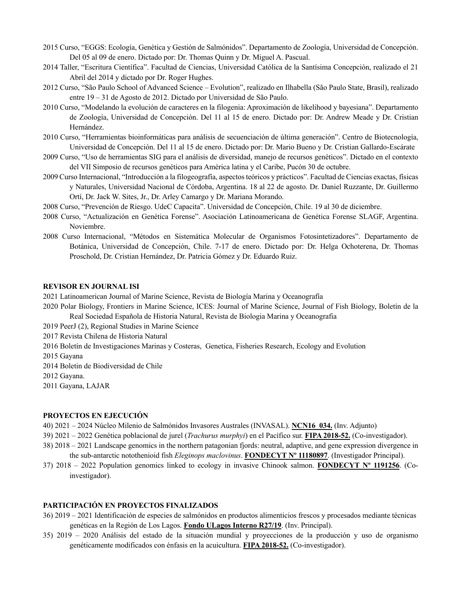- 2015 Curso, "EGGS: Ecología, Genética y Gestión de Salmónidos". Departamento de Zoología, Universidad de Concepción. Del 05 al 09 de enero. Dictado por: Dr. Thomas Quinn y Dr. Miguel A. Pascual.
- 2014 Taller, "Escritura Científica". Facultad de Ciencias, Universidad Católica de la Santísima Concepción, realizado el 21 Abril del 2014 y dictado por Dr. Roger Hughes.
- 2012 Curso, "São Paulo School of Advanced Science Evolution", realizado en Ilhabella (São Paulo State, Brasil), realizado entre 19 – 31 de Agosto de 2012. Dictado por Universidad de São Paulo.
- 2010 Curso, "Modelando la evolución de caracteres en la filogenia: Aproximación de likelihood y bayesiana". Departamento de Zoología, Universidad de Concepción. Del 11 al 15 de enero. Dictado por: Dr. Andrew Meade y Dr. Cristian Hernández.
- 2010 Curso, "Herramientas bioinformáticas para análisis de secuenciación de última generación". Centro de Biotecnología, Universidad de Concepción. Del 11 al 15 de enero. Dictado por: Dr. Mario Bueno y Dr. Cristian Gallardo-Escárate
- 2009 Curso, "Uso de herramientas SIG para el análisis de diversidad, manejo de recursos genéticos". Dictado en el contexto del VII Simposio de recursos genéticos para América latina y el Caribe, Pucón 30 de octubre.
- 2009 Curso Internacional, "Introducción a la filogeografía, aspectos teóricos y prácticos". Facultad de Ciencias exactas, físicas y Naturales, Universidad Nacional de Córdoba, Argentina. 18 al 22 de agosto. Dr. Daniel Ruzzante, Dr. Guillermo Ortí, Dr. Jack W. Sites, Jr., Dr. Arley Camargo y Dr. Mariana Morando.
- 2008 Curso, "Prevención de Riesgo. UdeC Capacita". Universidad de Concepción, Chile. 19 al 30 de diciembre.
- 2008 Curso, "Actualización en Genética Forense". Asociación Latinoamericana de Genética Forense SLAGF, Argentina. Noviembre.
- 2008 Curso Internacional, "Métodos en Sistemática Molecular de Organismos Fotosintetizadores". Departamento de Botánica, Universidad de Concepción, Chile. 7-17 de enero. Dictado por: Dr. Helga Ochoterena, Dr. Thomas Proschold, Dr. Cristian Hernández, Dr. Patricia Gómez y Dr. Eduardo Ruiz.

# **REVISOR EN JOURNAL ISI**

- 2021 Latinoamerican Journal of Marine Science, Revista de Biología Marina y Oceanografía
- 2020 Polar Biology, Frontiers in Marine Science, ICES: Journal of Marine Science, Journal of Fish Biology, Boletín de la Real Sociedad Española de Historia Natural, Revista de Biologia Marina y Oceanografia
- 2019 PeerJ (2), Regional Studies in Marine Science
- 2017 Revista Chilena de Historia Natural
- 2016 Boletín de Investigaciones Marinas y Costeras, Genetica, Fisheries Research, Ecology and Evolution
- 2015 Gayana
- 2014 Boletin de Biodiversidad de Chile
- 2012 Gayana.
- 2011 Gayana, LAJAR

### **PROYECTOS EN EJECUCIÓN**

- 40) 2021 2024 Núcleo Milenio de Salmónidos Invasores Australes (INVASAL). **NCN16\_034.** (Inv. Adjunto)
- 39) 2021 2022 Genética poblacional de jurel (*Trachurus murphyi*) en el Pacífico sur. **FIPA 2018-52.** (Co-investigador).
- 38) 2018 2021 Landscape genomics in the northern patagonian fjords: neutral, adaptive, and gene expression divergence in the sub-antarctic notothenioid fish *Eleginops maclovinus*. **FONDECYT Nº 11180897**. (Investigador Principal).
- 37) 2018 2022 Population genomics linked to ecology in invasive Chinook salmon. **FONDECYT Nº 1191256**. (Coinvestigador).

# **PARTICIPACIÓN EN PROYECTOS FINALIZADOS**

- 36) 2019 2021 Identificación de especies de salmónidos en productos alimenticios frescos y procesados mediante técnicas genéticas en la Región de Los Lagos. **Fondo ULagos Interno R27/19**. (Inv. Principal).
- 35) 2019 2020 Análisis del estado de la situación mundial y proyecciones de la producción y uso de organismo genéticamente modificados con énfasis en la acuicultura. **FIPA 2018-52.** (Co-investigador).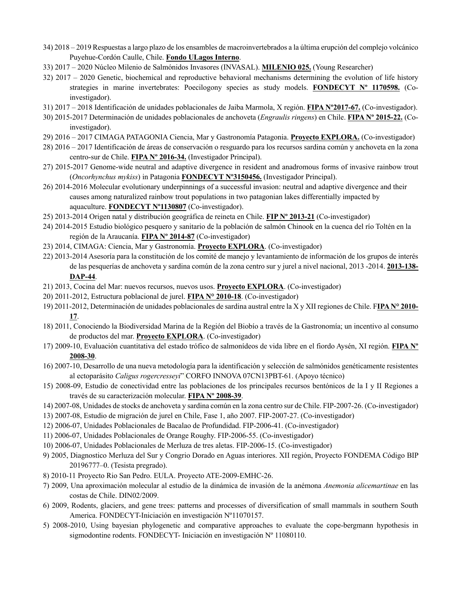- 34) 2018 2019 Respuestas a largo plazo de los ensambles de macroinvertebrados a la última erupción del complejo volcánico Puyehue-Cordón Caulle, Chile. **Fondo ULagos Interno**.
- 33) 2017 2020 Núcleo Milenio de Salmónidos Invasores (INVASAL). **MILENIO 025.** (Young Researcher)
- 32) 2017 2020 Genetic, biochemical and reproductive behavioral mechanisms determining the evolution of life history strategies in marine invertebrates: Poecilogony species as study models. **FONDECYT Nº 1170598.** (Coinvestigador).
- 31) 2017 2018 Identificación de unidades poblacionales de Jaiba Marmola, X región. **FIPA Nº2017-67.** (Co-investigador).
- 30) 2015-2017 Determinación de unidades poblacionales de anchoveta (*Engraulis ringens*) en Chile. **FIPA Nº 2015-22.** (Coinvestigador).
- 29) 2016 2017 CIMAGA PATAGONIA Ciencia, Mar y Gastronomía Patagonia. **Proyecto EXPLORA.** (Co-investigador)
- 28) 2016 2017 Identificación de áreas de conservación o resguardo para los recursos sardina común y anchoveta en la zona centro-sur de Chile. **FIPA Nº 2016-34.** (Investigador Principal).
- 27) 2015-2017 Genome-wide neutral and adaptive divergence in resident and anadromous forms of invasive rainbow trout (*Oncorhynchus mykiss*) in Patagonia **FONDECYT Nº3150456.** (Investigador Principal).
- 26) 2014-2016 Molecular evolutionary underpinnings of a successful invasion: neutral and adaptive divergence and their causes among naturalized rainbow trout populations in two patagonian lakes differentially impacted by aquaculture. **FONDECYT Nº1130807** (Co-investigador).
- 25) 2013-2014 Origen natal y distribución geográfica de reineta en Chile. **FIP Nº 2013-21** (Co-investigador)
- 24) 2014-2015 Estudio biológico pesquero y sanitario de la población de salmón Chinook en la cuenca del río Toltén en la región de la Araucanía. **FIPA Nº 2014-87** (Co-investigador)
- 23) 2014, CIMAGA: Ciencia, Mar y Gastronomía. **Proyecto EXPLORA**. (Co-investigador)
- 22) 2013-2014 Asesoría para la constitución de los comité de manejo y levantamiento de información de los grupos de interés de las pesquerías de anchoveta y sardina común de la zona centro sur y jurel a nivel nacional, 2013 -2014. **2013-138- DAP-44**.
- 21) 2013, Cocina del Mar: nuevos recursos, nuevos usos. **Proyecto EXPLORA**. (Co-investigador)
- 20) 2011-2012, Estructura poblacional de jurel. **FIPA N° 2010-18**. (Co-investigador)
- 19) 2011-2012, Determinación de unidades poblacionales de sardina austral entre la X y XII regiones de Chile. F**IPA N° 2010- 17**.
- 18) 2011, Conociendo la Biodiversidad Marina de la Región del Biobío a través de la Gastronomía; un incentivo al consumo de productos del mar. **Proyecto EXPLORA**. (Co-investigador)
- 17) 2009-10, Evaluación cuantitativa del estado trófico de salmonídeos de vida libre en el fiordo Aysén, XI región. **FIPA Nº 2008-30**.
- 16) 2007-10, Desarrollo de una nueva metodología para la identificación y selección de salmónidos genéticamente resistentes al ectoparásito *Caligus rogercresseyi*" CORFO INNOVA 07CN13PBT-61. (Apoyo técnico)
- 15) 2008-09, Estudio de conectividad entre las poblaciones de los principales recursos bentónicos de la I y II Regiones a través de su caracterización molecular. **FIPA Nº 2008-39**.
- 14) 2007-08, Unidades de stocks de anchoveta y sardina común en la zona centro sur de Chile. FIP-2007-26. (Co-investigador)
- 13) 2007-08, Estudio de migración de jurel en Chile, Fase 1, año 2007. FIP-2007-27. (Co-investigador)
- 12) 2006-07, Unidades Poblacionales de Bacalao de Profundidad. FIP-2006-41. (Co-investigador)
- 11) 2006-07, Unidades Poblacionales de Orange Roughy. FIP-2006-55. (Co-investigador)
- 10) 2006-07, Unidades Poblacionales de Merluza de tres aletas. FIP-2006-15. (Co-investigador)
- 9) 2005, Diagnostico Merluza del Sur y Congrio Dorado en Aguas interiores. XII región, Proyecto FONDEMA Código BIP 20196777–0. (Tesista pregrado).
- 8) 2010-11 Proyecto Rio San Pedro. EULA. Proyecto ATE-2009-EMHC-26.
- 7) 2009, Una aproximación molecular al estudio de la dinámica de invasión de la anémona *Anemonia alicemartinae* en las costas de Chile. DIN02/2009.
- 6) 2009, Rodents, glaciers, and gene trees: patterns and processes of diversification of small mammals in southern South America. FONDECYT-Iniciación en investigación Nº11070157.
- 5) 2008-2010, Using bayesian phylogenetic and comparative approaches to evaluate the cope-bergmann hypothesis in sigmodontine rodents. FONDECYT- Iniciación en investigación Nº 11080110.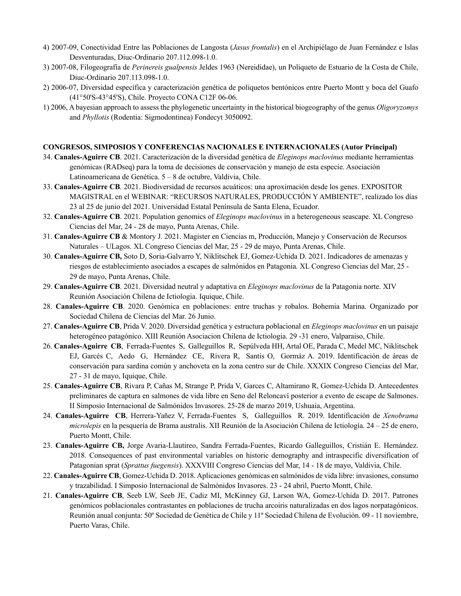- 4) 2007-09, Conectividad Entre las Poblaciones de Langosta (*Jasus frontalis*) en el Archipiélago de Juan Fernández e Islas Desventuradas, Diuc-Ordinario 207.112.098-1.0.
- 3) 2007-08, Filogeografía de *Perinereis gualpensis* Jeldes 1963 (Nereididae), un Poliqueto de Estuario de la Costa de Chile, Diuc-Ordinario 207.113.098-1.0.
- 2) 2006-07, Diversidad específica y caracterización genética de poliquetos bentónicos entre Puerto Montt y boca del Guafo (41°50'S-43°45'S), Chile. Proyecto CONA C12F 06-06.
- 1) 2006, A bayesian approach to assess the phylogenetic uncertainty in the historical biogeography of the genus *Oligoryzomys* and *Phyllotis* (Rodentia: Sigmodontinea) Fondecyt 3050092.

# **CONGRESOS, SIMPOSIOS Y CONFERENCIAS NACIONALES E INTERNACIONALES (Autor Principal)**

- 34. **Canales-Aguirre CB**. 2021. Caracterización de la diversidad genética de *Eleginops maclovinus* mediante herramientas genómicas (RADseq) para la toma de decisiones de conservación y manejo de esta especie. Asociación Latinoamericana de Genética. 5 – 8 de octubre, Valdivia, Chile.
- 33. **Canales-Aguirre CB**. 2021. Biodiversidad de recursos acuáticos: una aproximación desde los genes. EXPOSITOR MAGISTRAL en el WEBINAR: "RECURSOS NATURALES, PRODUCCIÓN Y AMBIENTE", realizado los días 23 al 25 de junio del 2021. Universidad Estatal Península de Santa Elena, Ecuador.
- 32. **Canales-Aguirre CB**. 2021. Population genomics of *Eleginops maclovinus* in a heterogeneous seascape. XL Congreso Ciencias del Mar, 24 - 28 de mayo, Punta Arenas, Chile.
- 31. **Canales-Aguirre CB** & Montory J. 2021. Magister en Ciencias m, Producción, Manejo y Conservación de Recursos Naturales – ULagos. XL Congreso Ciencias del Mar, 25 - 29 de mayo, Punta Arenas, Chile.
- 30. **Canales-Aguirre CB,** Soto D, Soria-Galvarro Y, Niklitschek EJ, Gomez-Uchida D. 2021. Indicadores de amenazas y riesgos de establecimiento asociados a escapes de salmónidos en Patagonia. XL Congreso Ciencias del Mar, 25 - 29 de mayo, Punta Arenas, Chile.
- 29. **Canales-Aguirre CB**. 2021. Diversidad neutral y adaptativa en *Eleginops maclovinus* de la Patagonia norte. XIV Reunión Asociación Chilena de Ictiologia. Iquique, Chile.
- 28. **Canales-Aguirre CB**. 2020. Genómica en poblaciones: entre truchas y robalos. Bohemia Marina. Organizado por Sociedad Chilena de Ciencias del Mar. 26 Junio.
- 27. **Canales-Aguirre CB**, Prida V. 2020. Diversidad genética y estructura poblacional en *Eleginops maclovinus* en un paisaje heterogéneo patagónico. XIII Reunión Asociacion Chilena de Ictiologia. 29 -31 enero, Valparaiso, Chile.
- 26. **Canales-Aguirre CB**, Ferrada-Fuentes S, Galleguillos R, Sepúlveda HH, Artal OE, Parada C, Medel MC, Niklitschek EJ, Garcés C, Aedo G, Hernández CE, Rivera R, Santis O, Gormáz A. 2019. Identificación de áreas de conservación para sardina común y anchoveta en la zona centro sur de Chile. XXXIX Congreso Ciencias del Mar, 27 - 31 de mayo, Iquique, Chile.
- 25. **Canales-Aguirre CB**, Rivara P, Cañas M, Strange P, Prida V, Garces C, Altamirano R, Gomez-Uchida D. Antecedentes preliminares de captura en salmones de vida libre en Seno del Reloncaví posterior a evento de escape de Salmones. II Simposio Internacional de Salmónidos Invasores. 25-28 de marzo 2019, Ushuaia, Argentina.
- 24. **Canales-Aguirre CB**, Herrera-Yañez V, Ferrada-Fuentes S, Galleguillos R. 2019. Identificación de *Xenobrama microlepis* en la pesquería de Brama australis. XII Reunión de la Asociación Chilena de Ictiología. 24 – 25 de enero, Puerto Montt, Chile.
- 23. **Canales-Aguirre CB,** Jorge Avaria-Llautireo, Sandra Ferrada-Fuentes, Ricardo Galleguillos, Cristián E. Hernández. 2018. Consequences of past environmental variables on historic demography and intraspecific diversification of Patagonian sprat (*Sprattus fuegensis*). XXXVIII Congreso Ciencias del Mar, 14 - 18 de mayo, Valdivia, Chile.
- 22. **Canales-Aguirre CB**, Gomez-Uchida D. 2018. Aplicaciones genómicas en salmónidos de vida libre: invasiones, consumo y trazabilidad. I Simposio Internacional de Salmónidos Invasores. 23 - 24 abril, Puerto Montt, Chile.
- 21. **Canales-Aguirre CB**, Seeb LW, Seeb JE, Cadiz MI, McKinney GJ, Larson WA, Gomez-Uchida D. 2017. Patrones genómicos poblacionales contrastantes en poblaciones de trucha arcoiris naturalizadas en dos lagos norpatagónicos. Reunión anual conjunta: 50º Sociedad de Genética de Chile y 11º Sociedad Chilena de Evolución. 09 - 11 noviembre, Puerto Varas, Chile.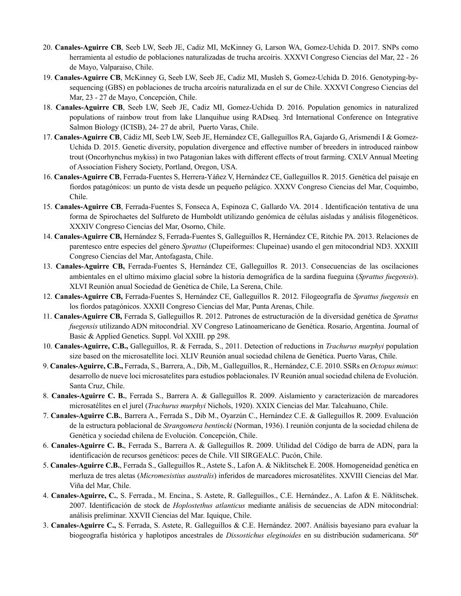- 20. **Canales-Aguirre CB**, Seeb LW, Seeb JE, Cadiz MI, McKinney G, Larson WA, Gomez-Uchida D. 2017. SNPs como herramienta al estudio de poblaciones naturalizadas de trucha arcoíris. XXXVI Congreso Ciencias del Mar, 22 - 26 de Mayo, Valparaiso, Chile.
- 19. **Canales-Aguirre CB**, McKinney G, Seeb LW, Seeb JE, Cadiz MI, Musleh S, Gomez-Uchida D. 2016. Genotyping-bysequencing (GBS) en poblaciones de trucha arcoíris naturalizada en el sur de Chile. XXXVI Congreso Ciencias del Mar, 23 - 27 de Mayo, Concepción, Chile.
- 18. **Canales-Aguirre CB**, Seeb LW, Seeb JE, Cadiz MI, Gomez-Uchida D. 2016. Population genomics in naturalized populations of rainbow trout from lake Llanquihue using RADseq. 3rd International Conference on Integrative Salmon Biology (ICISB), 24- 27 de abril, Puerto Varas, Chile.
- 17. **Canales-Aguirre CB**, Cádiz MI, Seeb LW, Seeb JE, Hernández CE, Galleguillos RA, Gajardo G, Arismendi I & Gomez-Uchida D. 2015. Genetic diversity, population divergence and effective number of breeders in introduced rainbow trout (Oncorhynchus mykiss) in two Patagonian lakes with different effects of trout farming. CXLV Annual Meeting of Association Fishery Society, Portland, Oregon, USA.
- 16. **Canales-Aguirre CB**, Ferrada-Fuentes S, Herrera-Yáñez V, Hernández CE, Galleguillos R. 2015. Genética del paisaje en fiordos patagónicos: un punto de vista desde un pequeño pelágico. XXXV Congreso Ciencias del Mar, Coquimbo, Chile.
- 15. **Canales-Aguirre CB**, Ferrada-Fuentes S, Fonseca A, Espinoza C, Gallardo VA. 2014 . Identificación tentativa de una forma de Spirochaetes del Sulfureto de Humboldt utilizando genómica de células aisladas y análisis filogenéticos. XXXIV Congreso Ciencias del Mar, Osorno, Chile.
- 14. **Canales-Aguirre CB,** Hernández S, Ferrada-Fuentes S, Galleguillos R, Hernández CE, Ritchie PA. 2013. Relaciones de parentesco entre especies del género *Sprattus* (Clupeiformes: Clupeinae) usando el gen mitocondrial ND3. XXXIII Congreso Ciencias del Mar, Antofagasta, Chile.
- 13. **Canales-Aguirre CB,** Ferrada-Fuentes S, Hernández CE, Galleguillos R. 2013. Consecuencias de las oscilaciones ambientales en el ultimo máximo glacial sobre la historia demográfica de la sardina fueguina (*Sprattus fuegensis*). XLVI Reunión anual Sociedad de Genética de Chile, La Serena, Chile.
- 12. **Canales-Aguirre CB,** Ferrada-Fuentes S, Hernández CE, Galleguillos R. 2012. Filogeografía de *Sprattus fuegensis* en los fiordos patagónicos. XXXII Congreso Ciencias del Mar, Punta Arenas, Chile.
- 11. **Canales-Aguirre CB,** Ferrada S, Galleguillos R. 2012. Patrones de estructuración de la diversidad genética de *Sprattus fuegensis* utilizando ADN mitocondrial. XV Congreso Latinoamericano de Genética. Rosario, Argentina. Journal of Basic & Applied Genetics. Suppl. Vol XXIII. pp 298.
- 10. **Canales-Aguirre, C.B.,** Galleguillos, R. & Ferrada, S., 2011. Detection of reductions in *Trachurus murphyi* population size based on the microsatellite loci. XLIV Reunión anual sociedad chilena de Genética. Puerto Varas, Chile.
- 9. **Canales-Aguirre, C.B.,** Ferrada, S., Barrera, A., Dib, M., Galleguillos, R., Hernández, C.E. 2010. SSRs en *Octopus mimus*: desarrollo de nueve loci microsatelites para estudios poblacionales. IV Reunión anual sociedad chilena de Evolución. Santa Cruz, Chile.
- 8. **Canales-Aguirre C. B.**, Ferrada S., Barrera A. & Galleguillos R. 2009. Aislamiento y caracterización de marcadores microsatélites en el jurel (*Trachurus murphyi* Nichols, 1920). XXIX Ciencias del Mar. Talcahuano, Chile.
- 7. **Canales-Aguirre C.B.**, Barrera A., Ferrada S., Dib M., Oyarzún C., Hernández C.E. & Galleguillos R. 2009. Evaluación de la estructura poblacional de *Strangomera bentincki* (Norman, 1936). I reunión conjunta de la sociedad chilena de Genética y sociedad chilena de Evolución. Concepción, Chile.
- 6. **Canales-Aguirre C. B.**, Ferrada S., Barrera A. & Galleguillos R. 2009. Utilidad del Código de barra de ADN, para la identificación de recursos genéticos: peces de Chile. VII SIRGEALC. Pucón, Chile.
- 5. **Canales-Aguirre C.B.**, Ferrada S., Galleguillos R., Astete S., Lafon A. & Niklitschek E. 2008. Homogeneidad genética en merluza de tres aletas (*Micromesistius australis*) inferidos de marcadores microsatélites. XXVIII Ciencias del Mar. Viña del Mar, Chile.
- 4. **Canales-Aguirre, C.**, S. Ferrada., M. Encina., S. Astete, R. Galleguillos., C.E. Hernández., A. Lafon & E. Niklitschek. 2007. Identificación de stock de *Hoplostethus atlanticus* mediante análisis de secuencias de ADN mitocondrial: análisis preliminar. XXVII Ciencias del Mar. Iquique, Chile.
- 3. **Canales-Aguirre C.,** S. Ferrada, S. Astete, R. Galleguillos & C.E. Hernández. 2007. Análisis bayesiano para evaluar la biogeografía histórica y haplotipos ancestrales de *Dissostichus eleginoides* en su distribución sudamericana. 50º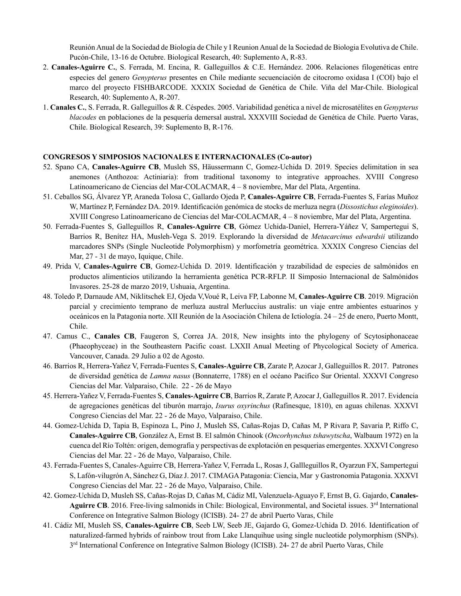Reunión Anual de la Sociedad de Biología de Chile y I Reunion Anual de la Sociedad de Biologia Evolutiva de Chile. Pucón-Chile, 13-16 de Octubre. Biological Research, 40: Suplemento A, R-83.

- 2. **Canales-Aguirre C.**, S. Ferrada, M. Encina, R. Galleguillos & C.E. Hernández. 2006. Relaciones filogenéticas entre especies del genero *Genypterus* presentes en Chile mediante secuenciación de citocromo oxidasa I (COI) bajo el marco del proyecto FISHBARCODE. XXXIX Sociedad de Genética de Chile. Viña del Mar-Chile. Biological Research, 40: Suplemento A, R-207.
- 1. **Canales C.**, S. Ferrada, R. Galleguillos & R. Céspedes. 2005. Variabilidad genética a nivel de microsatélites en *Genypterus blacodes* en poblaciones de la pesquería demersal austral**.** XXXVIII Sociedad de Genética de Chile. Puerto Varas, Chile. Biological Research, 39: Suplemento B, R-176.

### **CONGRESOS Y SIMPOSIOS NACIONALES E INTERNACIONALES (Co-autor)**

- 52. Spano CA, **Canales-Aguirre CB**, Musleh SS, Häussermann C, Gomez-Uchida D. 2019. Species delimitation in sea anemones (Anthozoa: Actiniaria): from traditional taxonomy to integrative approaches. XVIII Congreso Latinoamericano de Ciencias del Mar-COLACMAR, 4 – 8 noviembre, Mar del Plata, Argentina.
- 51. Ceballos SG, Álvarez YP, Araneda Tolosa C, Gallardo Ojeda P, **Canales-Aguirre CB**, Ferrada-Fuentes S, Farías Muñoz W, Martínez P, Fernández DA. 2019. Identificación genómica de stocks de merluza negra (*Dissostichus eleginoides*). XVIII Congreso Latinoamericano de Ciencias del Mar-COLACMAR, 4 – 8 noviembre, Mar del Plata, Argentina.
- 50. Ferrada-Fuentes S, Galleguillos R, **Canales-Aguirre CB**, Gómez Uchida-Daniel, Herrera-Yáñez V, Sampertegui S, Barrios R, Benítez HA, Musleh-Vega S. 2019. Explorando la diversidad de *Metacarcinus edwardsii* utilizando marcadores SNPs (Single Nucleotide Polymorphism) y morfometría geométrica. XXXIX Congreso Ciencias del Mar, 27 - 31 de mayo, Iquique, Chile.
- 49. Prida V, **Canales-Aguirre CB**, Gomez-Uchida D. 2019. Identificación y trazabilidad de especies de salmónidos en productos alimenticios utilizando la herramienta genética PCR-RFLP. II Simposio Internacional de Salmónidos Invasores. 25-28 de marzo 2019, Ushuaia, Argentina.
- 48. Toledo P, Darnaude AM, Niklitschek EJ, Ojeda V,Voué R, Leiva FP, Labonne M, **Canales-Aguirre CB**. 2019. Migración parcial y crecimiento temprano de merluza austral Merluccius australis: un viaje entre ambientes estuarinos y oceánicos en la Patagonia norte. XII Reunión de la Asociación Chilena de Ictiología. 24 – 25 de enero, Puerto Montt, Chile.
- 47. Camus C., **Canales CB**, Faugeron S, Correa JA. 2018, New insights into the phylogeny of Scytosiphonaceae (Phaeophyceae) in the Southeastern Pacific coast. LXXII Anual Meeting of Phycological Society of America. Vancouver, Canada. 29 Julio a 02 de Agosto.
- 46. Barrios R, Herrera-Yañez V, Ferrada-Fuentes S, **Canales-Aguirre CB**, Zarate P, Azocar J, Galleguillos R. 2017. Patrones de diversidad genética de *Lamna nasus* (Bonnaterre, 1788) en el océano Pacifico Sur Oriental. XXXVI Congreso Ciencias del Mar. Valparaiso, Chile. 22 - 26 de Mayo
- 45. Herrera-Yañez V, Ferrada-Fuentes S, **Canales-Aguirre CB**, Barrios R, Zarate P, Azocar J, Galleguillos R. 2017. Evidencia de agregaciones genéticas del tiburón marrajo, *Isurus oxyrinchus* (Rafinesque, 1810), en aguas chilenas. XXXVI Congreso Ciencias del Mar. 22 - 26 de Mayo, Valparaiso, Chile.
- 44. Gomez-Uchida D, Tapia B, Espinoza L, Pino J, Musleh SS, Cañas-Rojas D, Cañas M, P Rivara P, Savaria P, Riffo C, **Canales-Aguirre CB**, González A, Ernst B. El salmón Chinook (*Oncorhynchus tshawytscha*, Walbaum 1972) en la cuenca del Río Toltén: origen, demografia y perspectivas de explotación en pesquerias emergentes. XXXVI Congreso Ciencias del Mar. 22 - 26 de Mayo, Valparaiso, Chile.
- 43. Ferrada-Fuentes S, Canales-Aguirre CB, Herrera-Yañez V, Ferrada L, Rosas J, Gallleguillos R, Oyarzun FX, Sampertegui S, Lafón-vilugrón A, Sánchez G, Díaz J. 2017. CIMAGA Patagonia: Ciencia, Mar y Gastronomia Patagonia. XXXVI Congreso Ciencias del Mar. 22 - 26 de Mayo, Valparaiso, Chile.
- 42. Gomez-Uchida D, Musleh SS, Cañas-Rojas D, Cañas M, Cádiz MI, Valenzuela-Aguayo F, Ernst B, G. Gajardo, **Canales-**Aguirre CB. 2016. Free-living salmonids in Chile: Biological, Environmental, and Societal issues. 3<sup>rd</sup> International Conference on Integrative Salmon Biology (ICISB). 24- 27 de abril Puerto Varas, Chile
- 41. Cádiz MI, Musleh SS, **Canales-Aguirre CB**, Seeb LW, Seeb JE, Gajardo G, Gomez-Uchida D. 2016. Identification of naturalized-farmed hybrids of rainbow trout from Lake Llanquihue using single nucleotide polymorphism (SNPs). 3rd International Conference on Integrative Salmon Biology (ICISB). 24- 27 de abril Puerto Varas, Chile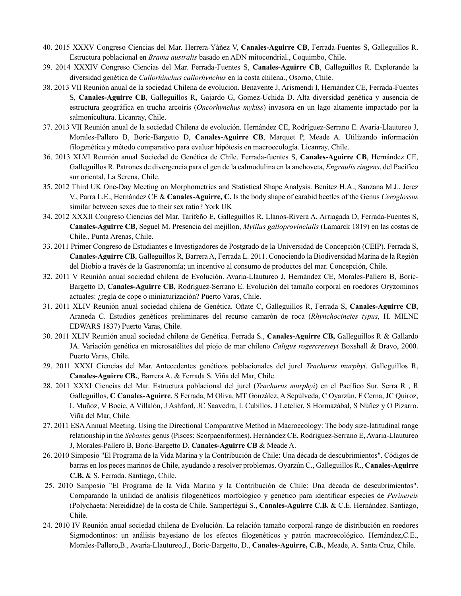- 40. 2015 XXXV Congreso Ciencias del Mar. Herrera-Yáñez V, **Canales-Aguirre CB**, Ferrada-Fuentes S, Galleguillos R. Estructura poblacional en *Brama australis* basado en ADN mitocondrial., Coquimbo, Chile.
- 39. 2014 XXXIV Congreso Ciencias del Mar. Ferrada-Fuentes S, **Canales-Aguirre CB**, Galleguillos R. Explorando la diversidad genética de *Callorhinchus callorhynchus* en la costa chilena., Osorno, Chile.
- 38. 2013 VII Reunión anual de la sociedad Chilena de evolución. Benavente J, Arismendi I, Hernández CE, Ferrada-Fuentes S, **Canales-Aguirre CB**, Galleguillos R, Gajardo G, Gomez-Uchida D. Alta diversidad genética y ausencia de estructura geográfica en trucha arcoíris (*Oncorhynchus mykiss*) invasora en un lago altamente impactado por la salmonicultura. Licanray, Chile.
- 37. 2013 VII Reunión anual de la sociedad Chilena de evolución. Hernández CE, Rodríguez-Serrano E. Avaria-Llautureo J, Morales-Pallero B, Boric-Bargetto D, **Canales-Aguirre CB**, Marquet P, Meade A. Utilizando información filogenética y método comparativo para evaluar hipótesis en macroecología. Licanray, Chile.
- 36. 2013 XLVI Reunión anual Sociedad de Genética de Chile. Ferrada-fuentes S, **Canales-Aguirre CB**, Hernández CE, Galleguillos R. Patrones de divergencia para el gen de la calmodulina en la anchoveta, *Engraulis ringens*, del Pacífico sur oriental, La Serena, Chile.
- 35. 2012 Third UK One-Day Meeting on Morphometrics and Statistical Shape Analysis. Benítez H.A., Sanzana M.J., Jerez V., Parra L.E., Hernández CE & **Canales-Aguirre, C.** Is the body shape of carabid beetles of the Genus *Ceroglossus* similar between sexes due to their sex ratio? York UK
- 34. 2012 XXXII Congreso Ciencias del Mar. Tarifeño E, Galleguillos R, Llanos-Rivera A, Arriagada D, Ferrada-Fuentes S, **Canales-Aguirre CB**, Seguel M. Presencia del mejillon, *Mytilus galloprovincialis* (Lamarck 1819) en las costas de Chile., Punta Arenas, Chile.
- 33. 2011 Primer Congreso de Estudiantes e Investigadores de Postgrado de la Universidad de Concepción (CEIP). Ferrada S, **Canales-Aguirre CB**, Galleguillos R, Barrera A, Ferrada L. 2011. Conociendo la Biodiversidad Marina de la Región del Biobío a través de la Gastronomía; un incentivo al consumo de productos del mar. Concepción, Chile.
- 32. 2011 V Reunión anual sociedad chilena de Evolución. Avaria-Llautureo J, Hernández CE, Morales-Pallero B, Boric-Bargetto D, **Canales-Aguirre CB**, Rodríguez-Serrano E. Evolución del tamaño corporal en roedores Oryzominos actuales: ¿regla de cope o miniaturización? Puerto Varas, Chile.
- 31. 2011 XLIV Reunión anual sociedad chilena de Genética. Oñate C, Galleguillos R, Ferrada S, **Canales-Aguirre CB**, Araneda C. Estudios genéticos preliminares del recurso camarón de roca (*Rhynchocinetes typus*, H. MILNE EDWARS 1837) Puerto Varas, Chile.
- 30. 2011 XLIV Reunión anual sociedad chilena de Genética. Ferrada S., **Canales-Aguirre CB,** Galleguillos R & Gallardo JA. Variación genética en microsatélites del piojo de mar chileno *Caligus rogercresseyi* Boxshall & Bravo, 2000. Puerto Varas, Chile.
- 29. 2011 XXXI Ciencias del Mar. Antecedentes genéticos poblacionales del jurel *Trachurus murphyi*. Galleguillos R, **Canales-Aguirre CB.**, Barrera A. & Ferrada S. Viña del Mar, Chile.
- 28. 2011 XXXI Ciencias del Mar. Estructura poblacional del jurel (*Trachurus murphyi*) en el Pacífico Sur. Serra R , R Galleguillos, **C Canales-Aguirre**, S Ferrada, M Oliva, MT González, A Sepúlveda, C Oyarzún, F Cerna, JC Quiroz, L Muñoz, V Bocic, A Villalón, J Ashford, JC Saavedra, L Cubillos, J Letelier, S Hormazábal, S Núñez y O Pizarro. Viña del Mar, Chile.
- 27. 2011 ESA Annual Meeting. Using the Directional Comparative Method in Macroecology: The body size-latitudinal range relationship in the *Sebastes* genus (Pisces: Scorpaeniformes). Hernández CE, Rodríguez-Serrano E, Avaria-Llautureo J, Morales-Pallero B, Boric-Bargetto D, **Canales-Aguirre CB** & Meade A.
- 26. 2010 Simposio "El Programa de la Vida Marina y la Contribución de Chile: Una década de descubrimientos". Códigos de barras en los peces marinos de Chile, ayudando a resolver problemas. Oyarzún C., Galleguillos R., **Canales-Aguirre C.B.** & S. Ferrada. Santiago, Chile.
- 25. 2010 Simposio "El Programa de la Vida Marina y la Contribución de Chile: Una década de descubrimientos". Comparando la utilidad de análisis filogenéticos morfológico y genético para identificar especies de *Perinereis* (Polychaeta: Nereididae) de la costa de Chile. Sampertégui S., **Canales-Aguirre C.B.** & C.E. Hernández. Santiago, Chile.
- 24. 2010 IV Reunión anual sociedad chilena de Evolución. La relación tamaño corporal-rango de distribución en roedores Sigmodontinos: un análisis bayesiano de los efectos filogenéticos y patrón macroecológico. Hernández,C.E., Morales-Pallero,B., Avaria-Llautureo,J., Boric-Bargetto, D., **Canales-Aguirre, C.B.**, Meade, A. Santa Cruz, Chile.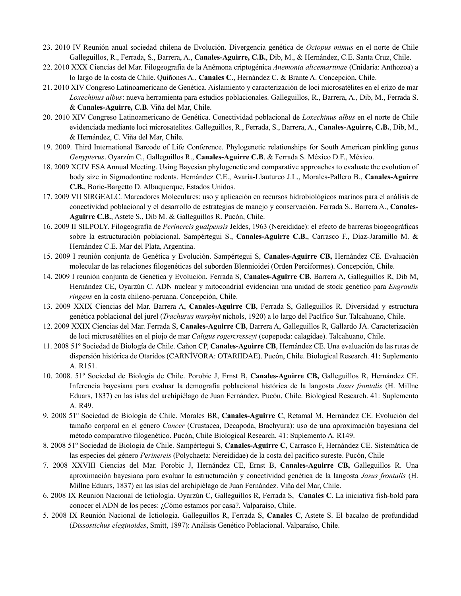- 23. 2010 IV Reunión anual sociedad chilena de Evolución. Divergencia genética de *Octopus mimus* en el norte de Chile Galleguillos, R., Ferrada, S., Barrera, A., **Canales-Aguirre, C.B.**, Dib, M., & Hernández, C.E. Santa Cruz, Chile.
- 22. 2010 XXX Ciencias del Mar. Filogeografía de la Anémona criptogénica *Anemonia alicemartinae* (Cnidaria: Anthozoa) a lo largo de la costa de Chile. Quiñones A., **Canales C.**, Hernández C. & Brante A. Concepción, Chile.
- 21. 2010 XIV Congreso Latinoamericano de Genética. Aislamiento y caracterización de loci microsatélites en el erizo de mar *Loxechinus albus*: nueva herramienta para estudios poblacionales. Galleguillos, R., Barrera, A., Dib, M., Ferrada S. & **Canales-Aguirre, C.B**. Viña del Mar, Chile.
- 20. 2010 XIV Congreso Latinoamericano de Genética. Conectividad poblacional de *Loxechinus albus* en el norte de Chile evidenciada mediante loci microsatelites. Galleguillos, R., Ferrada, S., Barrera, A., **Canales-Aguirre, C.B.**, Dib, M., & Hernández, C. Viña del Mar, Chile.
- 19. 2009. Third International Barcode of Life Conference. Phylogenetic relationships for South American pinkling genus *Genypterus*. Oyarzún C., Galleguillos R., **Canales-Aguirre C.B**. & Ferrada S. México D.F., México.
- 18. 2009 XCIV ESA Annual Meeting. Using Bayesian phylogenetic and comparative approaches to evaluate the evolution of body size in Sigmodontine rodents. Hernández C.E., Avaria-Llautureo J.L., Morales-Pallero B., **Canales-Aguirre C.B.**, Boric-Bargetto D. Albuquerque, Estados Unidos.
- 17. 2009 VII SIRGEALC. Marcadores Moleculares: uso y aplicación en recursos hidrobiológicos marinos para el análisis de conectividad poblacional y el desarrollo de estrategias de manejo y conservación. Ferrada S., Barrera A., **Canales-Aguirre C.B.**, Astete S., Dib M. & Galleguillos R. Pucón, Chile.
- 16. 2009 II SILPOLY. Filogeografía de *Perinereis gualpensis* Jeldes, 1963 (Nereididae): el efecto de barreras biogeográficas sobre la estructuración poblacional. Sampértegui S., **Canales-Aguirre C.B.**, Carrasco F., Díaz-Jaramillo M. & Hernández C.E. Mar del Plata, Argentina.
- 15. 2009 I reunión conjunta de Genética y Evolución. Sampértegui S, **Canales-Aguirre CB,** Hernández CE. Evaluación molecular de las relaciones filogenéticas del suborden Blennioidei (Orden Perciformes). Concepción, Chile.
- 14. 2009 I reunión conjunta de Genética y Evolución. Ferrada S, **Canales-Aguirre CB**, Barrera A, Galleguillos R, Dib M, Hernández CE, Oyarzún C. ADN nuclear y mitocondrial evidencian una unidad de stock genético para *Engraulis ringens* en la costa chileno-peruana. Concepción, Chile.
- 13. 2009 XXIX Ciencias del Mar. Barrera A, **Canales-Aguirre CB**, Ferrada S, Galleguillos R. Diversidad y estructura genética poblacional del jurel (*Trachurus murphyi* nichols, 1920) a lo largo del Pacífico Sur. Talcahuano, Chile.
- 12. 2009 XXIX Ciencias del Mar. Ferrada S, **Canales-Aguirre CB**, Barrera A, Galleguillos R, Gallardo JA. Caracterización de loci microsatélites en el piojo de mar *Caligus rogercresseyi* (copepoda: calagidae). Talcahuano, Chile.
- 11. 2008 51º Sociedad de Biología de Chile. Cañon CP, **Canales-Aguirre CB**, Hernández CE. Una evaluación de las rutas de dispersión histórica de Otaridos (CARNÍVORA: OTARIIDAE). Pucón, Chile. Biological Research. 41: Suplemento A. R151.
- 10. 2008. 51º Sociedad de Biología de Chile. Porobic J, Ernst B, **Canales-Aguirre CB,** Galleguillos R, Hernández CE. Inferencia bayesiana para evaluar la demografía poblacional histórica de la langosta *Jasus frontalis* (H. Millne Eduars, 1837) en las islas del archipiélago de Juan Fernández. Pucón, Chile. Biological Research. 41: Suplemento A. R49.
- 9. 2008 51º Sociedad de Biología de Chile. Morales BR, **Canales-Aguirre C**, Retamal M, Hernández CE. Evolución del tamaño corporal en el género *Cancer* (Crustacea, Decapoda, Brachyura): uso de una aproximación bayesiana del método comparativo filogenético. Pucón, Chile Biological Research. 41: Suplemento A. R149.
- 8. 2008 51º Sociedad de Biología de Chile. Sampértegui S, **Canales-Aguirre C**, Carrasco F, Hernández CE. Sistemática de las especies del género *Perinereis* (Polychaeta: Nereididae) de la costa del pacífico sureste. Pucón, Chile
- 7. 2008 XXVIII Ciencias del Mar. Porobic J, Hernández CE, Ernst B, **Canales-Aguirre CB,** Galleguillos R. Una aproximación bayesiana para evaluar la estructuración y conectividad genética de la langosta *Jasus frontalis* (H. Millne Eduars, 1837) en las islas del archipiélago de Juan Fernández. Viña del Mar, Chile.
- 6. 2008 IX Reunión Nacional de Ictiología. Oyarzún C, Galleguillos R, Ferrada S, **Canales C**. La iniciativa fish-bold para conocer el ADN de los peces: ¿Cómo estamos por casa?. Valparaíso, Chile.
- 5. 2008 IX Reunión Nacional de Ictiología. Galleguillos R, Ferrada S, **Canales C**, Astete S. El bacalao de profundidad (*Dissostichus eleginoides*, Smitt, 1897): Análisis Genético Poblacional. Valparaíso, Chile.